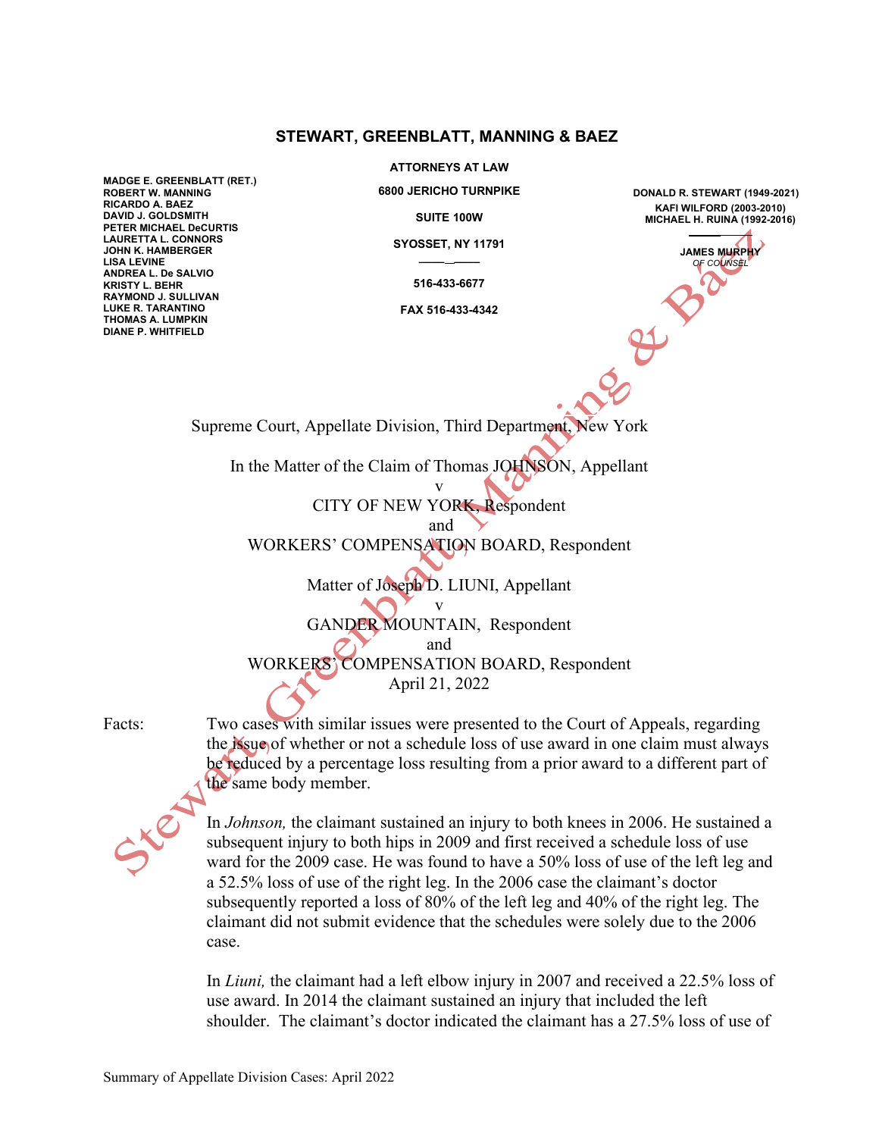## **STEWART, GREENBLATT, MANNING & BAEZ**

**MADGE E. GREENBLATT (RET.) ROBERT W. MANNING RICARDO A. BAEZ DAVID J. GOLDSMITH PETER MICHAEL DeCURTIS LAURETTA L. CONNORS JOHN K. HAMBERGER LISA LEVINE ANDREA L. De SALVIO KRISTY L. BEHR RAYMOND J. SULLIVAN LUKE R. TARANTINO THOMAS A. LUMPKIN DIANE P. WHITFIELD**

**ATTORNEYS AT LAW**

**6800 JERICHO TURNPIKE**

**SUITE 100W**

**SYOSSET, NY 11791 \_\_\_\_ \_\_\_\_**

**516-433-6677**

**FAX 516-433-4342**

**DONALD R. STEWART (1949-2021) KAFI WILFORD (2003-2010) MICHAEL H. RUINA (1992-2016)** \_\_\_\_\_

> **JAMES MURPHY** *OF COUNSEL*

Supreme Court, Appellate Division, Third Department, New York

In the Matter of the Claim of Thomas JOHNSON, Appellant

v CITY OF NEW YORK, Respondent

and

WORKERS' COMPENSATION BOARD, Respondent

Matter of Joseph D. LIUNI, Appellant

v GANDER MOUNTAIN, Respondent

and

WORKERS' COMPENSATION BOARD, Respondent

April 21, 2022

Facts: Two cases with similar issues were presented to the Court of Appeals, regarding the issue of whether or not a schedule loss of use award in one claim must always be reduced by a percentage loss resulting from a prior award to a different part of the same body member.



In *Johnson,* the claimant sustained an injury to both knees in 2006. He sustained a subsequent injury to both hips in 2009 and first received a schedule loss of use ward for the 2009 case. He was found to have a 50% loss of use of the left leg and a 52.5% loss of use of the right leg. In the 2006 case the claimant's doctor subsequently reported a loss of 80% of the left leg and 40% of the right leg. The claimant did not submit evidence that the schedules were solely due to the 2006 case.

In *Liuni,* the claimant had a left elbow injury in 2007 and received a 22.5% loss of use award. In 2014 the claimant sustained an injury that included the left shoulder. The claimant's doctor indicated the claimant has a 27.5% loss of use of